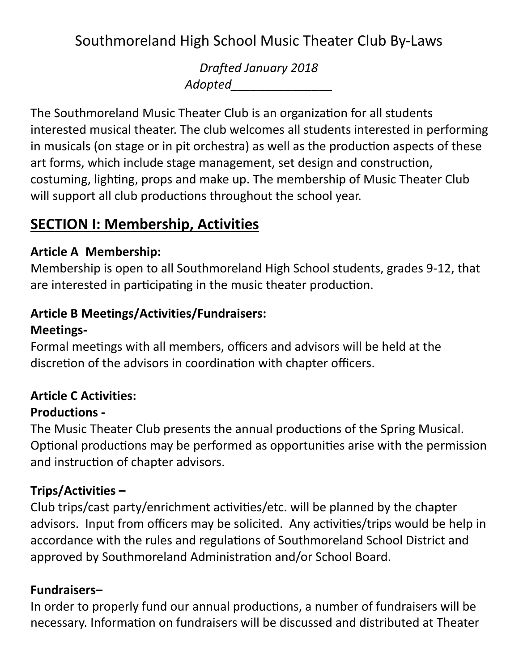Southmoreland High School Music Theater Club By-Laws

Drafted January 2018 Adopted\_\_\_\_\_\_\_\_\_\_\_\_\_\_\_

The Southmoreland Music Theater Club is an organization for all students interested musical theater. The club welcomes all students interested in performing in musicals (on stage or in pit orchestra) as well as the production aspects of these art forms, which include stage management, set design and construction, costuming, lighting, props and make up. The membership of Music Theater Club will support all club productions throughout the school year.

## SECTION I: Membership, Activities

#### Article A Membership:

Membership is open to all Southmoreland High School students, grades 9-12, that are interested in participating in the music theater production.

#### Article B Meetings/Activities/Fundraisers:

#### Meetings-

Formal meetings with all members, officers and advisors will be held at the discretion of the advisors in coordination with chapter officers.

# Article C Activities:

### Productions -

The Music Theater Club presents the annual productions of the Spring Musical. Optional productions may be performed as opportunities arise with the permission and instruction of chapter advisors.

### Trips/Activities –

Club trips/cast party/enrichment activities/etc. will be planned by the chapter advisors. Input from officers may be solicited. Any activities/trips would be help in accordance with the rules and regulations of Southmoreland School District and approved by Southmoreland Administration and/or School Board.

### Fundraisers–

In order to properly fund our annual productions, a number of fundraisers will be necessary. Information on fundraisers will be discussed and distributed at Theater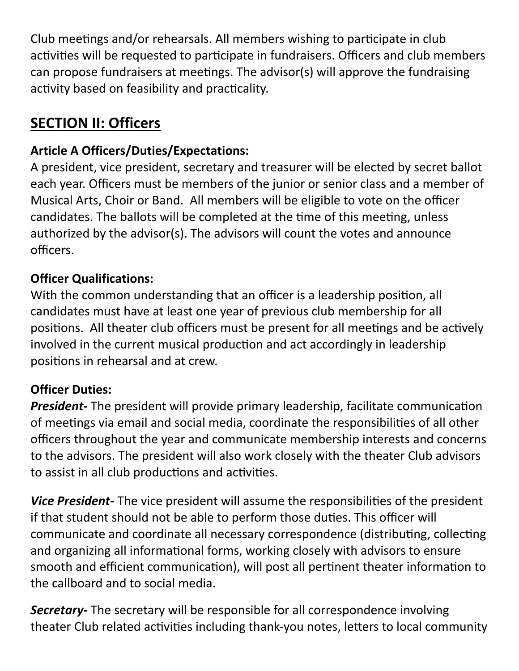Club meetings and/or rehearsals. All members wishing to participate in club activities will be requested to participate in fundraisers. Officers and club members can propose fundraisers at meetings. The advisor(s) will approve the fundraising activity based on feasibility and practicality.

# SECTION II: Officers

### Article A Officers/Duties/Expectations:

A president, vice president, secretary and treasurer will be elected by secret ballot each year. Officers must be members of the junior or senior class and a member of Musical Arts, Choir or Band. All members will be eligible to vote on the officer candidates. The ballots will be completed at the time of this meeting, unless authorized by the advisor(s). The advisors will count the votes and announce officers.

### Officer Qualifications:

With the common understanding that an officer is a leadership position, all candidates must have at least one year of previous club membership for all positions. All theater club officers must be present for all meetings and be actively involved in the current musical production and act accordingly in leadership positions in rehearsal and at crew.

### Officer Duties:

**President-** The president will provide primary leadership, facilitate communication of meetings via email and social media, coordinate the responsibilities of all other officers throughout the year and communicate membership interests and concerns to the advisors. The president will also work closely with the theater Club advisors to assist in all club productions and activities.

Vice President- The vice president will assume the responsibilities of the president if that student should not be able to perform those duties. This officer will communicate and coordinate all necessary correspondence (distributing, collecting and organizing all informational forms, working closely with advisors to ensure smooth and efficient communication), will post all pertinent theater information to the callboard and to social media.

**Secretary-** The secretary will be responsible for all correspondence involving theater Club related activities including thank-you notes, letters to local community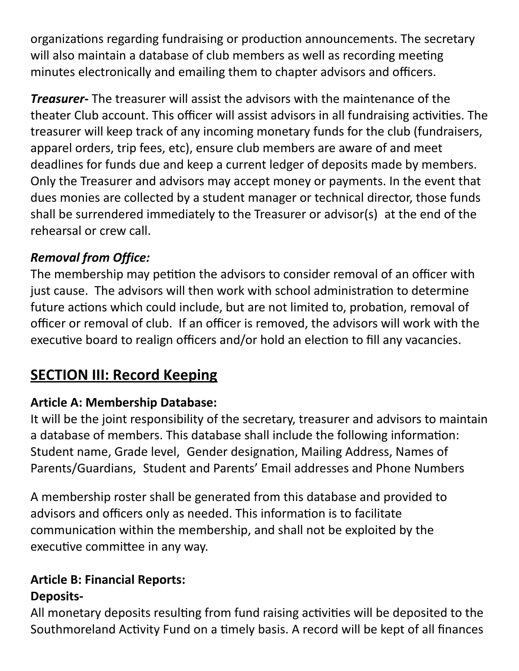organizations regarding fundraising or production announcements. The secretary will also maintain a database of club members as well as recording meeting minutes electronically and emailing them to chapter advisors and officers.

**Treasurer-** The treasurer will assist the advisors with the maintenance of the theater Club account. This officer will assist advisors in all fundraising activities. The treasurer will keep track of any incoming monetary funds for the club (fundraisers, apparel orders, trip fees, etc), ensure club members are aware of and meet deadlines for funds due and keep a current ledger of deposits made by members. Only the Treasurer and advisors may accept money or payments. In the event that dues monies are collected by a student manager or technical director, those funds shall be surrendered immediately to the Treasurer or advisor(s) at the end of the rehearsal or crew call.

### Removal from Office:

The membership may petition the advisors to consider removal of an officer with just cause. The advisors will then work with school administration to determine future actions which could include, but are not limited to, probation, removal of officer or removal of club. If an officer is removed, the advisors will work with the executive board to realign officers and/or hold an election to fill any vacancies.

# **SECTION III: Record Keeping**

### Article A: Membership Database:

It will be the joint responsibility of the secretary, treasurer and advisors to maintain a database of members. This database shall include the following information: Student name, Grade level, Gender designation, Mailing Address, Names of Parents/Guardians, Student and Parents' Email addresses and Phone Numbers

A membership roster shall be generated from this database and provided to advisors and officers only as needed. This information is to facilitate communication within the membership, and shall not be exploited by the executive committee in any way.

#### Article B: Financial Reports: Deposits-

All monetary deposits resulting from fund raising activities will be deposited to the Southmoreland Activity Fund on a timely basis. A record will be kept of all finances